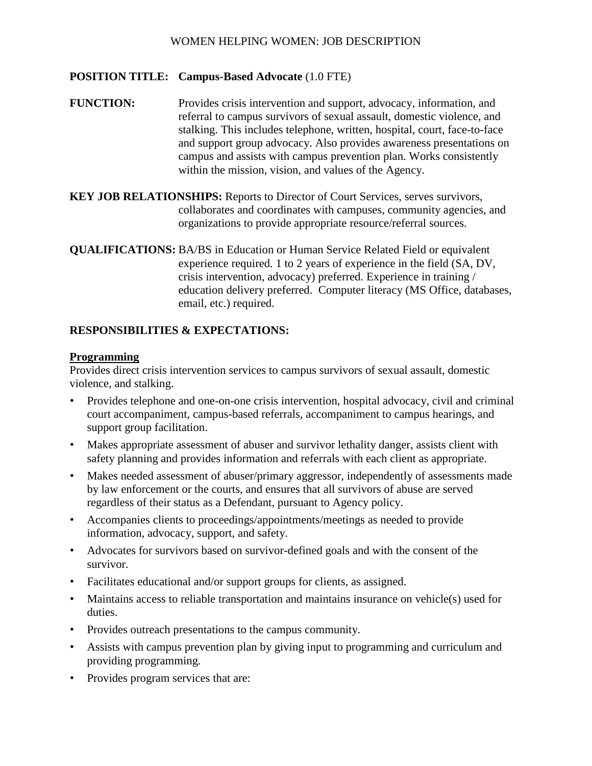### WOMEN HELPING WOMEN: JOB DESCRIPTION

### **POSITION TITLE: Campus-Based Advocate** (1.0 FTE)

- **FUNCTION:** Provides crisis intervention and support, advocacy, information, and referral to campus survivors of sexual assault, domestic violence, and stalking. This includes telephone, written, hospital, court, face-to-face and support group advocacy. Also provides awareness presentations on campus and assists with campus prevention plan. Works consistently within the mission, vision, and values of the Agency.
- **KEY JOB RELATIONSHIPS:** Reports to Director of Court Services, serves survivors, collaborates and coordinates with campuses, community agencies, and organizations to provide appropriate resource/referral sources.

**QUALIFICATIONS:** BA/BS in Education or Human Service Related Field or equivalent experience required. 1 to 2 years of experience in the field (SA, DV, crisis intervention, advocacy) preferred. Experience in training / education delivery preferred. Computer literacy (MS Office, databases, email, etc.) required.

#### **RESPONSIBILITIES & EXPECTATIONS:**

#### **Programming**

Provides direct crisis intervention services to campus survivors of sexual assault, domestic violence, and stalking.

- Provides telephone and one-on-one crisis intervention, hospital advocacy, civil and criminal court accompaniment, campus-based referrals, accompaniment to campus hearings, and support group facilitation.
- Makes appropriate assessment of abuser and survivor lethality danger, assists client with safety planning and provides information and referrals with each client as appropriate.
- Makes needed assessment of abuser/primary aggressor, independently of assessments made by law enforcement or the courts, and ensures that all survivors of abuse are served regardless of their status as a Defendant, pursuant to Agency policy.
- Accompanies clients to proceedings/appointments/meetings as needed to provide information, advocacy, support, and safety.
- Advocates for survivors based on survivor-defined goals and with the consent of the survivor.
- Facilitates educational and/or support groups for clients, as assigned.
- Maintains access to reliable transportation and maintains insurance on vehicle(s) used for duties.
- Provides outreach presentations to the campus community.
- Assists with campus prevention plan by giving input to programming and curriculum and providing programming.
- Provides program services that are: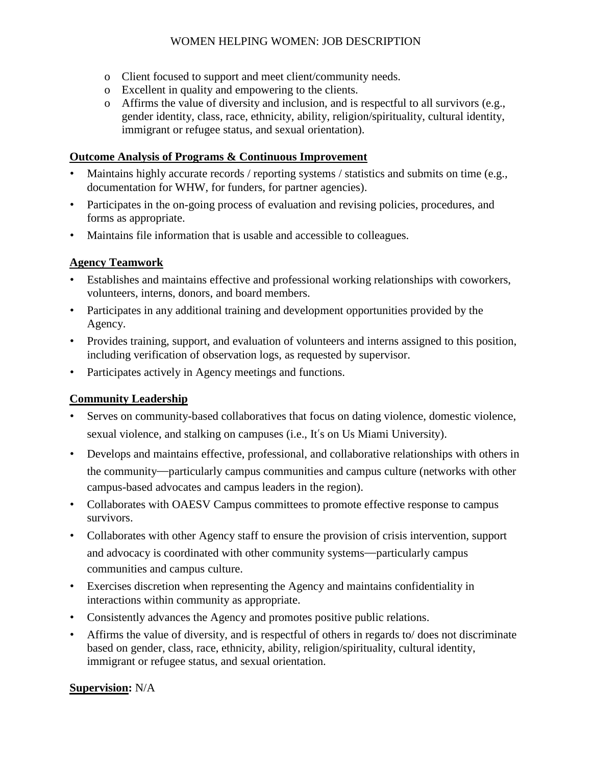# WOMEN HELPING WOMEN: JOB DESCRIPTION

- o Client focused to support and meet client/community needs.
- o Excellent in quality and empowering to the clients.
- o Affirms the value of diversity and inclusion, and is respectful to all survivors (e.g., gender identity, class, race, ethnicity, ability, religion/spirituality, cultural identity, immigrant or refugee status, and sexual orientation).

## **Outcome Analysis of Programs & Continuous Improvement**

- Maintains highly accurate records / reporting systems / statistics and submits on time (e.g., documentation for WHW, for funders, for partner agencies).
- Participates in the on-going process of evaluation and revising policies, procedures, and forms as appropriate.
- Maintains file information that is usable and accessible to colleagues.

# **Agency Teamwork**

- Establishes and maintains effective and professional working relationships with coworkers, volunteers, interns, donors, and board members.
- Participates in any additional training and development opportunities provided by the Agency.
- Provides training, support, and evaluation of volunteers and interns assigned to this position, including verification of observation logs, as requested by supervisor.
- Participates actively in Agency meetings and functions.

# **Community Leadership**

- Serves on community-based collaboratives that focus on dating violence, domestic violence, sexual violence, and stalking on campuses (i.e., It's on Us Miami University).
- Develops and maintains effective, professional, and collaborative relationships with others in the community—particularly campus communities and campus culture (networks with other campus-based advocates and campus leaders in the region).
- Collaborates with OAESV Campus committees to promote effective response to campus survivors.
- Collaborates with other Agency staff to ensure the provision of crisis intervention, support and advocacy is coordinated with other community systems—particularly campus communities and campus culture.
- Exercises discretion when representing the Agency and maintains confidentiality in interactions within community as appropriate.
- Consistently advances the Agency and promotes positive public relations.
- Affirms the value of diversity, and is respectful of others in regards to/ does not discriminate based on gender, class, race, ethnicity, ability, religion/spirituality, cultural identity, immigrant or refugee status, and sexual orientation.

## **Supervision:** N/A